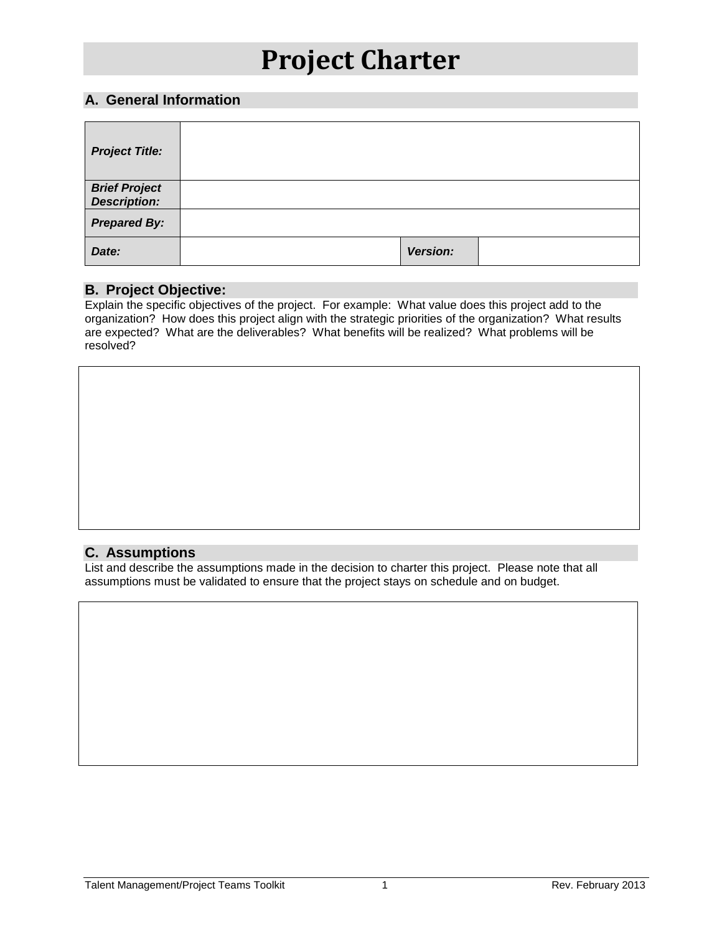### **A. General Information**

| <b>Project Title:</b>                 |          |  |
|---------------------------------------|----------|--|
| <b>Brief Project<br/>Description:</b> |          |  |
| <b>Prepared By:</b>                   |          |  |
| Date:                                 | Version: |  |

#### **B. Project Objective:**

Explain the specific objectives of the project. For example: What value does this project add to the organization? How does this project align with the strategic priorities of the organization? What results are expected? What are the deliverables? What benefits will be realized? What problems will be resolved?

### **C. Assumptions**

List and describe the assumptions made in the decision to charter this project. Please note that all assumptions must be validated to ensure that the project stays on schedule and on budget.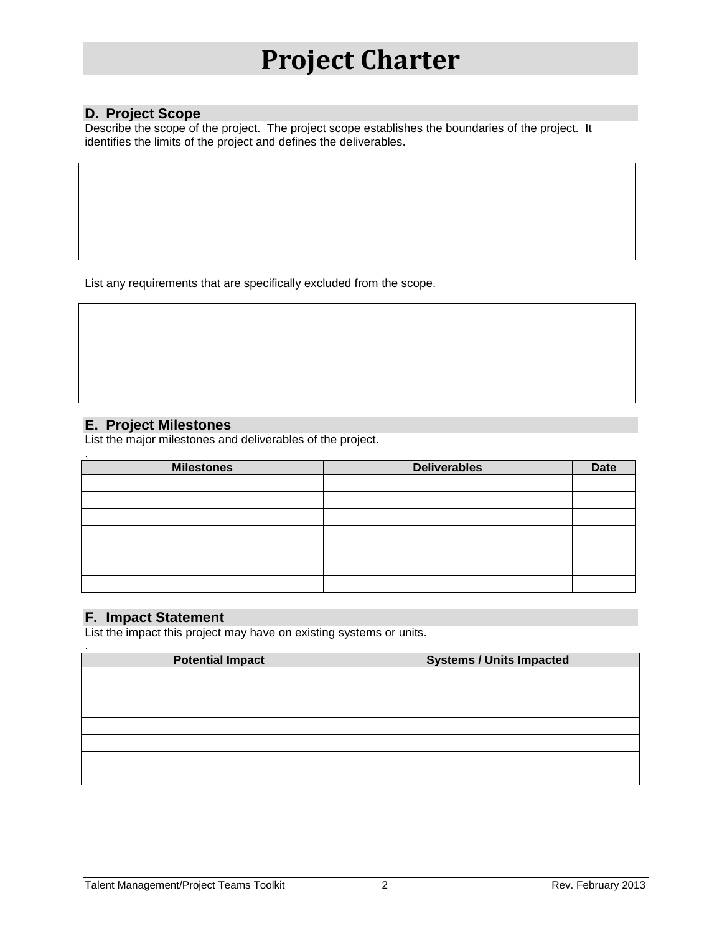### **D. Project Scope**

Describe the scope of the project. The project scope establishes the boundaries of the project. It identifies the limits of the project and defines the deliverables.

List any requirements that are specifically excluded from the scope.

### **E. Project Milestones**

List the major milestones and deliverables of the project.

| <b>Milestones</b> | <b>Deliverables</b> | <b>Date</b> |
|-------------------|---------------------|-------------|
|                   |                     |             |
|                   |                     |             |
|                   |                     |             |
|                   |                     |             |
|                   |                     |             |
|                   |                     |             |
|                   |                     |             |
|                   |                     |             |
|                   |                     |             |

### **F. Impact Statement**

.

List the impact this project may have on existing systems or units.

| <b>Potential Impact</b> | <b>Systems / Units Impacted</b> |  |
|-------------------------|---------------------------------|--|
|                         |                                 |  |
|                         |                                 |  |
|                         |                                 |  |
|                         |                                 |  |
|                         |                                 |  |
|                         |                                 |  |
|                         |                                 |  |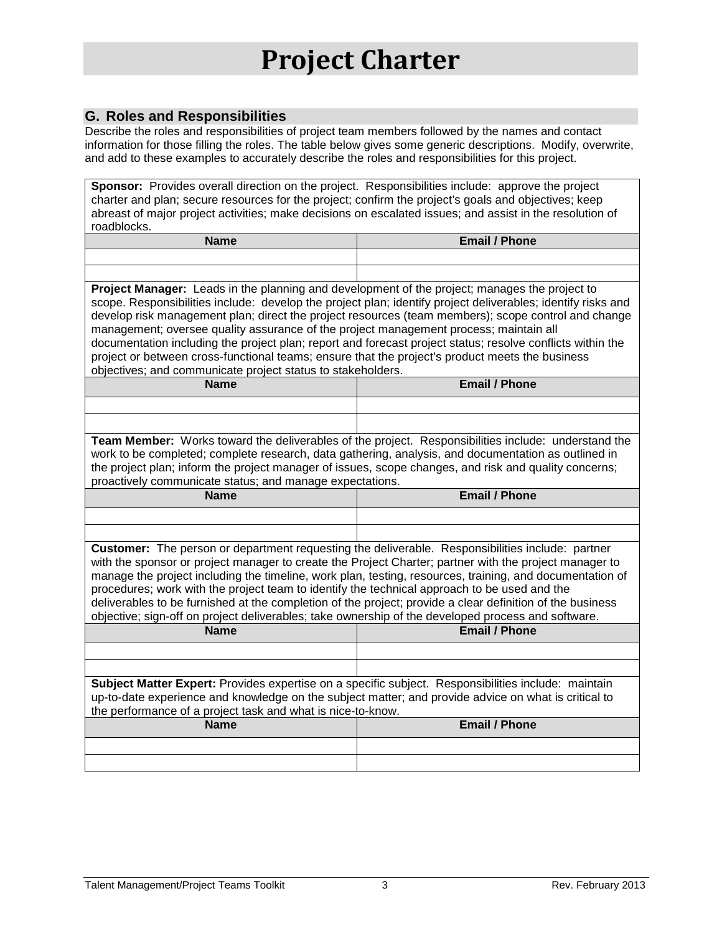## **G. Roles and Responsibilities**

Describe the roles and responsibilities of project team members followed by the names and contact information for those filling the roles. The table below gives some generic descriptions. Modify, overwrite, and add to these examples to accurately describe the roles and responsibilities for this project.

|                                                                                                                                                                                                               | Sponsor: Provides overall direction on the project. Responsibilities include: approve the project          |  |  |
|---------------------------------------------------------------------------------------------------------------------------------------------------------------------------------------------------------------|------------------------------------------------------------------------------------------------------------|--|--|
| charter and plan; secure resources for the project; confirm the project's goals and objectives; keep                                                                                                          |                                                                                                            |  |  |
| abreast of major project activities; make decisions on escalated issues; and assist in the resolution of<br>roadblocks.                                                                                       |                                                                                                            |  |  |
| <b>Name</b>                                                                                                                                                                                                   | <b>Email / Phone</b>                                                                                       |  |  |
|                                                                                                                                                                                                               |                                                                                                            |  |  |
|                                                                                                                                                                                                               |                                                                                                            |  |  |
|                                                                                                                                                                                                               |                                                                                                            |  |  |
| Project Manager: Leads in the planning and development of the project; manages the project to<br>scope. Responsibilities include: develop the project plan; identify project deliverables; identify risks and |                                                                                                            |  |  |
|                                                                                                                                                                                                               | develop risk management plan; direct the project resources (team members); scope control and change        |  |  |
| management; oversee quality assurance of the project management process; maintain all                                                                                                                         |                                                                                                            |  |  |
|                                                                                                                                                                                                               | documentation including the project plan; report and forecast project status; resolve conflicts within the |  |  |
| project or between cross-functional teams; ensure that the project's product meets the business                                                                                                               |                                                                                                            |  |  |
| objectives; and communicate project status to stakeholders.                                                                                                                                                   |                                                                                                            |  |  |
| <b>Name</b>                                                                                                                                                                                                   | <b>Email / Phone</b>                                                                                       |  |  |
|                                                                                                                                                                                                               |                                                                                                            |  |  |
|                                                                                                                                                                                                               |                                                                                                            |  |  |
|                                                                                                                                                                                                               | Team Member: Works toward the deliverables of the project. Responsibilities include: understand the        |  |  |
| work to be completed; complete research, data gathering, analysis, and documentation as outlined in                                                                                                           |                                                                                                            |  |  |
| the project plan; inform the project manager of issues, scope changes, and risk and quality concerns;                                                                                                         |                                                                                                            |  |  |
| proactively communicate status; and manage expectations.                                                                                                                                                      |                                                                                                            |  |  |
|                                                                                                                                                                                                               |                                                                                                            |  |  |
| <b>Name</b>                                                                                                                                                                                                   | <b>Email / Phone</b>                                                                                       |  |  |
|                                                                                                                                                                                                               |                                                                                                            |  |  |
|                                                                                                                                                                                                               |                                                                                                            |  |  |
|                                                                                                                                                                                                               |                                                                                                            |  |  |
| Customer: The person or department requesting the deliverable. Responsibilities include: partner<br>with the sponsor or project manager to create the Project Charter; partner with the project manager to    |                                                                                                            |  |  |
|                                                                                                                                                                                                               | manage the project including the timeline, work plan, testing, resources, training, and documentation of   |  |  |
| procedures; work with the project team to identify the technical approach to be used and the                                                                                                                  |                                                                                                            |  |  |
| deliverables to be furnished at the completion of the project; provide a clear definition of the business                                                                                                     |                                                                                                            |  |  |
| objective; sign-off on project deliverables; take ownership of the developed process and software.                                                                                                            |                                                                                                            |  |  |
| <b>Name</b>                                                                                                                                                                                                   | <b>Email / Phone</b>                                                                                       |  |  |
|                                                                                                                                                                                                               |                                                                                                            |  |  |
|                                                                                                                                                                                                               |                                                                                                            |  |  |
| Subject Matter Expert: Provides expertise on a specific subject. Responsibilities include: maintain                                                                                                           |                                                                                                            |  |  |
| up-to-date experience and knowledge on the subject matter; and provide advice on what is critical to                                                                                                          |                                                                                                            |  |  |
| the performance of a project task and what is nice-to-know.                                                                                                                                                   |                                                                                                            |  |  |
| <b>Name</b>                                                                                                                                                                                                   | <b>Email / Phone</b>                                                                                       |  |  |
|                                                                                                                                                                                                               |                                                                                                            |  |  |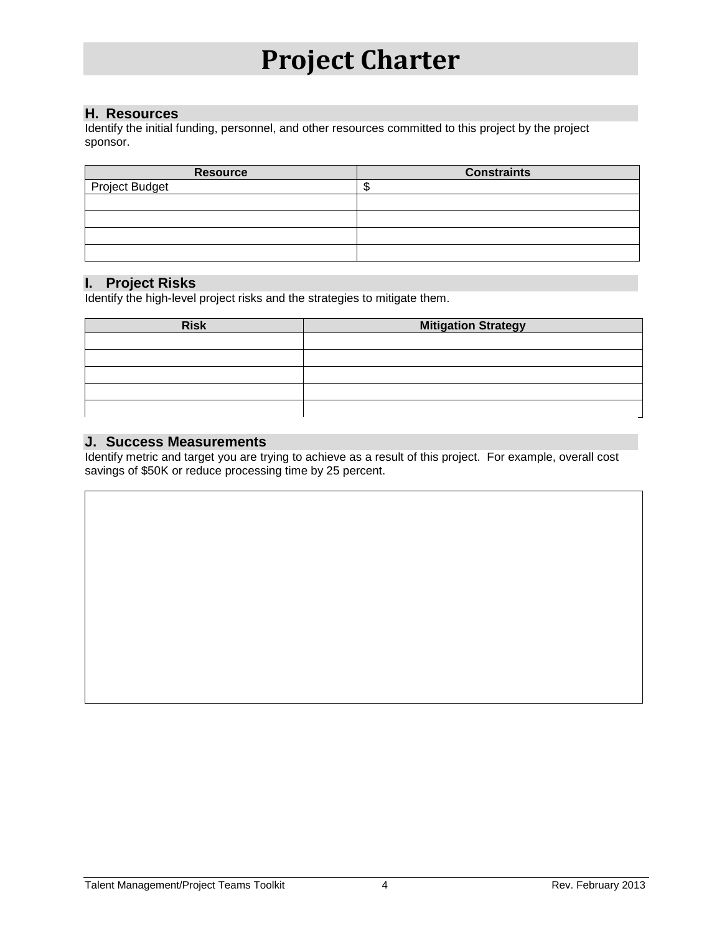#### **H. Resources**

Identify the initial funding, personnel, and other resources committed to this project by the project sponsor.

| <b>Resource</b> | <b>Constraints</b> |
|-----------------|--------------------|
| Project Budget  | - 11               |
|                 |                    |
|                 |                    |
|                 |                    |
|                 |                    |

#### **I. Project Risks**

Identify the high-level project risks and the strategies to mitigate them.

| <b>Risk</b> | <b>Mitigation Strategy</b> |
|-------------|----------------------------|
|             |                            |
|             |                            |
|             |                            |
|             |                            |
|             |                            |

#### **J. Success Measurements**

Identify metric and target you are trying to achieve as a result of this project. For example, overall cost savings of \$50K or reduce processing time by 25 percent.